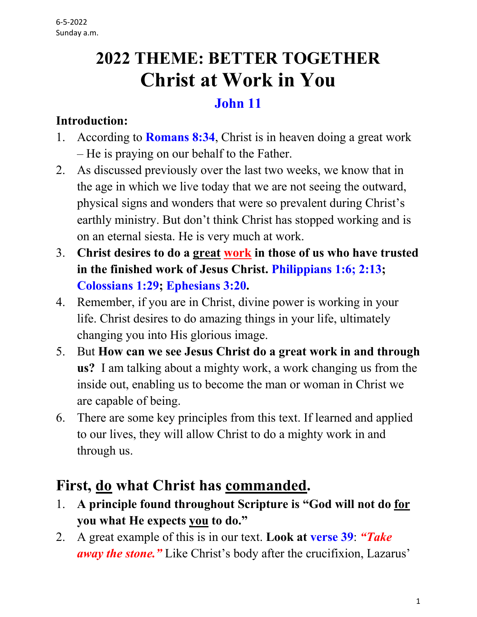# **2022 THEME: BETTER TOGETHER Christ at Work in You**

#### **John 11**

#### **Introduction:**

- 1. According to **Romans 8:34**, Christ is in heaven doing a great work – He is praying on our behalf to the Father.
- 2. As discussed previously over the last two weeks, we know that in the age in which we live today that we are not seeing the outward, physical signs and wonders that were so prevalent during Christ's earthly ministry. But don't think Christ has stopped working and is on an eternal siesta. He is very much at work.
- 3. **Christ desires to do a great work in those of us who have trusted in the finished work of Jesus Christ. Philippians 1:6; 2:13; Colossians 1:29; Ephesians 3:20.**
- 4. Remember, if you are in Christ, divine power is working in your life. Christ desires to do amazing things in your life, ultimately changing you into His glorious image.
- 5. But **How can we see Jesus Christ do a great work in and through us?** I am talking about a mighty work, a work changing us from the inside out, enabling us to become the man or woman in Christ we are capable of being.
- 6. There are some key principles from this text. If learned and applied to our lives, they will allow Christ to do a mighty work in and through us.

## **First, do what Christ has commanded.**

- 1. **A principle found throughout Scripture is "God will not do for you what He expects you to do."**
- 2. A great example of this is in our text. **Look at verse 39**: *"Take away the stone."* Like Christ's body after the crucifixion, Lazarus'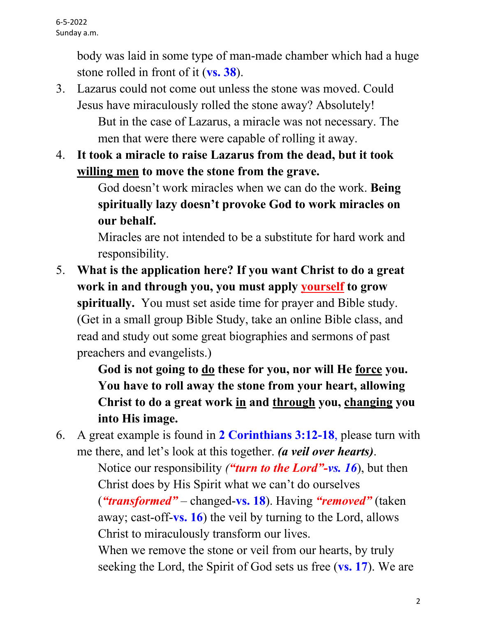body was laid in some type of man-made chamber which had a huge stone rolled in front of it (**vs. 38**).

- 3. Lazarus could not come out unless the stone was moved. Could Jesus have miraculously rolled the stone away? Absolutely! But in the case of Lazarus, a miracle was not necessary. The men that were there were capable of rolling it away.
- 4. **It took a miracle to raise Lazarus from the dead, but it took willing men to move the stone from the grave.**

 God doesn't work miracles when we can do the work. **Being spiritually lazy doesn't provoke God to work miracles on our behalf.**

 Miracles are not intended to be a substitute for hard work and responsibility.

5. **What is the application here? If you want Christ to do a great work in and through you, you must apply yourself to grow spiritually.** You must set aside time for prayer and Bible study. (Get in a small group Bible Study, take an online Bible class, and read and study out some great biographies and sermons of past preachers and evangelists.)

> **God is not going to do these for you, nor will He force you. You have to roll away the stone from your heart, allowing Christ to do a great work in and through you, changing you into His image.**

6. A great example is found in **2 Corinthians 3:12-18**, please turn with me there, and let's look at this together. *(a veil over hearts)*.

 Notice our responsibility *("turn to the Lord"-vs. 16*), but then Christ does by His Spirit what we can't do ourselves (*"transformed"* – changed-**vs. 18**). Having *"removed"* (taken away; cast-off-**vs. 16**) the veil by turning to the Lord, allows Christ to miraculously transform our lives.

When we remove the stone or veil from our hearts, by truly seeking the Lord, the Spirit of God sets us free (**vs. 17**). We are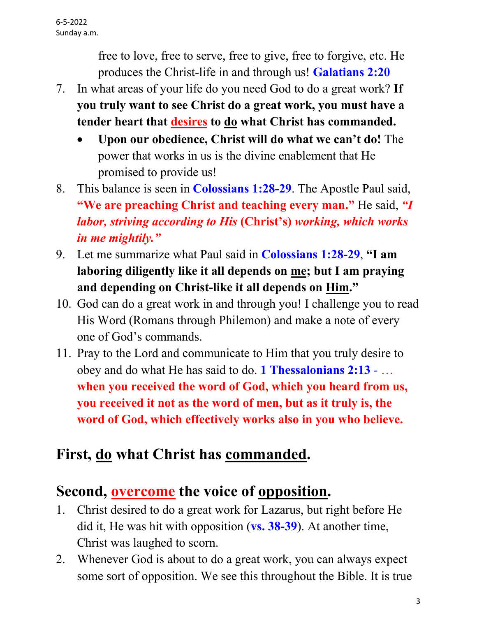free to love, free to serve, free to give, free to forgive, etc. He produces the Christ-life in and through us! **Galatians 2:20**

- 7. In what areas of your life do you need God to do a great work? **If you truly want to see Christ do a great work, you must have a tender heart that desires to do what Christ has commanded.**
	- **Upon our obedience, Christ will do what we can't do!** The power that works in us is the divine enablement that He promised to provide us!
- 8. This balance is seen in **Colossians 1:28-29**. The Apostle Paul said, **"We are preaching Christ and teaching every man."** He said, *"I labor, striving according to His* **(Christ's)** *working, which works in me mightily."*
- 9. Let me summarize what Paul said in **Colossians 1:28-29**, **"I am laboring diligently like it all depends on me; but I am praying and depending on Christ-like it all depends on Him."**
- 10. God can do a great work in and through you! I challenge you to read His Word (Romans through Philemon) and make a note of every one of God's commands.
- 11. Pray to the Lord and communicate to Him that you truly desire to obey and do what He has said to do. **1 Thessalonians 2:13** - … **when you received the word of God, which you heard from us, you received it not as the word of men, but as it truly is, the word of God, which effectively works also in you who believe.**

### **First, do what Christ has commanded.**

### **Second, overcome the voice of opposition.**

- 1. Christ desired to do a great work for Lazarus, but right before He did it, He was hit with opposition (**vs. 38-39**). At another time, Christ was laughed to scorn.
- 2. Whenever God is about to do a great work, you can always expect some sort of opposition. We see this throughout the Bible. It is true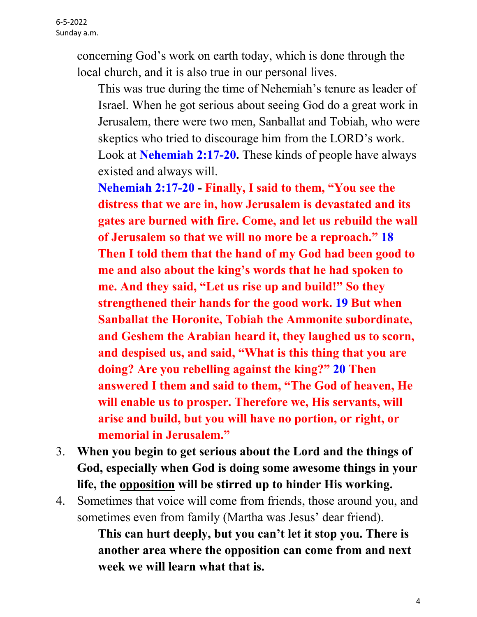concerning God's work on earth today, which is done through the local church, and it is also true in our personal lives.

 This was true during the time of Nehemiah's tenure as leader of Israel. When he got serious about seeing God do a great work in Jerusalem, there were two men, Sanballat and Tobiah, who were skeptics who tried to discourage him from the LORD's work. Look at **Nehemiah 2:17-20.** These kinds of people have always existed and always will.

 **Nehemiah 2:17-20 - Finally, I said to them, "You see the distress that we are in, how Jerusalem is devastated and its gates are burned with fire. Come, and let us rebuild the wall of Jerusalem so that we will no more be a reproach." 18 Then I told them that the hand of my God had been good to me and also about the king's words that he had spoken to me. And they said, "Let us rise up and build!" So they strengthened their hands for the good work. 19 But when Sanballat the Horonite, Tobiah the Ammonite subordinate, and Geshem the Arabian heard it, they laughed us to scorn, and despised us, and said, "What is this thing that you are doing? Are you rebelling against the king?" 20 Then answered I them and said to them, "The God of heaven, He will enable us to prosper. Therefore we, His servants, will arise and build, but you will have no portion, or right, or memorial in Jerusalem."**

- 3. **When you begin to get serious about the Lord and the things of God, especially when God is doing some awesome things in your life, the opposition will be stirred up to hinder His working.**
- 4. Sometimes that voice will come from friends, those around you, and sometimes even from family (Martha was Jesus' dear friend).

 **This can hurt deeply, but you can't let it stop you. There is another area where the opposition can come from and next week we will learn what that is.**